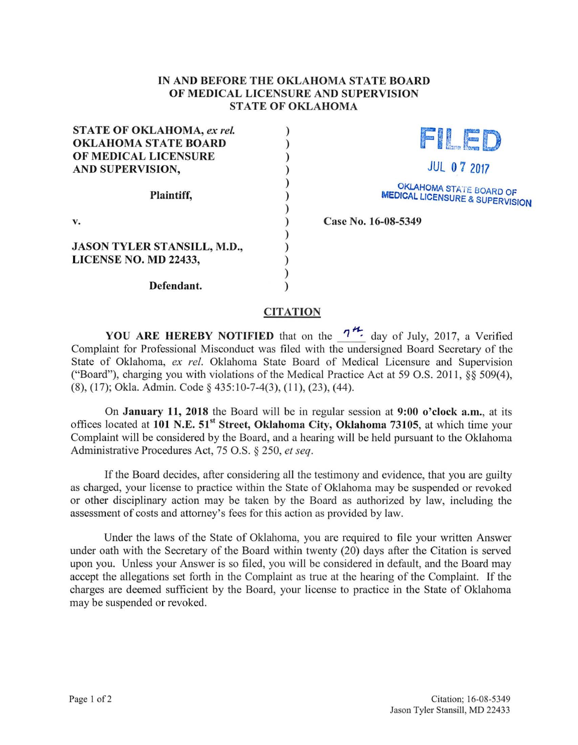## IN AND BEFORE THE OKLAHOMA STATE BOARD OF MEDICAL LICENSURE AND SUPERVISION STATE OF OKLAHOMA

) ) ) ) ) ) ) ) ) ) ) ) )

| <b>STATE OF OKLAHOMA, ex rel.</b>  |
|------------------------------------|
| <b>OKLAHOMA STATE BOARD</b>        |
| OF MEDICAL LICENSURE               |
| <b>AND SUPERVISION,</b>            |
| Plaintiff,                         |
| v.                                 |
| <b>JASON TYLER STANSILL, M.D.,</b> |
| LICENSE NO. MD 22433,              |
| Defendant.                         |



OKLAHOMA STATE BOARD OF MEDICAL LICENSURE & SUPERVISION

Case No. 16-08-5349

## **CITATION**

YOU ARE HEREBY NOTIFIED that on the  $7^{H}$  day of July, 2017, a Verified Complaint for Professional Misconduct was filed with the undersigned Board Secretary of the State of Oklahoma, ex ref. Oklahoma State Board of Medical Licensure and Supervision ("Board"), charging you with violations of the Medical Practice Act at 59 O.S. 2011, §§ 509(4), (8), (17); Okla. Admin. Code § 435:10-7-4(3), (11 ), (23), (44).

On January 11, 2018 the Board will be in regular session at 9:00 o'clock a.m., at its offices located at 101 N.E. 51<sup>st</sup> Street, Oklahoma City, Oklahoma 73105, at which time your Complaint will be considered by the Board, and a hearing will be held pursuant to the Oklahoma Administrative Procedures Act, 75 O.S. § 250, *et seq.* 

If the Board decides, after considering all the testimony and evidence, that you are guilty as charged, your license to practice within the State of Oklahoma may be suspended or revoked or other disciplinary action may be taken by the Board as authorized by law, including the assessment of costs and attorney's fees for this action as provided by law.

Under the laws of the State of Oklahoma, you are required to file your written Answer under oath with the Secretary of the Board within twenty (20) days after the Citation is served upon you. Unless your Answer is so filed, you will be considered in default, and the Board may accept the allegations set forth in the Complaint as true at the hearing of the Complaint. If the charges are deemed sufficient by the Board, your license to practice in the State of Oklahoma may be suspended or revoked.